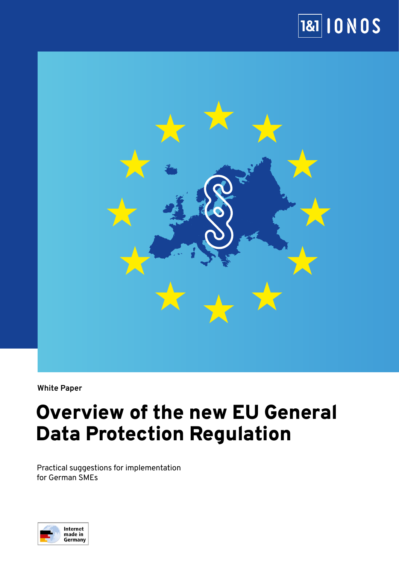



**White Paper**

# Overview of the new EU General Data Protection Regulation

Practical suggestions for implementation for German SMEs

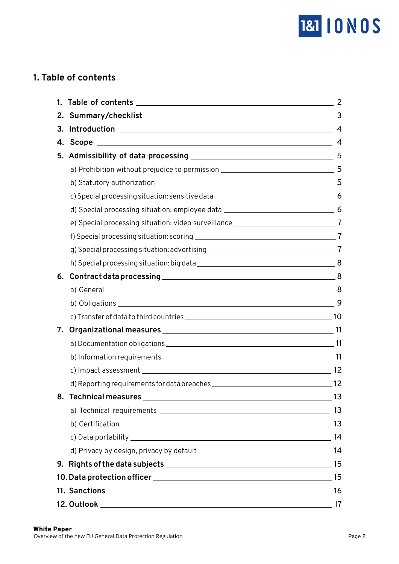

# **1. Table of contents**

| 1. |                                                                                       | 2              |
|----|---------------------------------------------------------------------------------------|----------------|
| 2. |                                                                                       | 3              |
| 3. |                                                                                       | $\overline{4}$ |
|    |                                                                                       | 4              |
| 5. |                                                                                       |                |
|    |                                                                                       |                |
|    |                                                                                       |                |
|    |                                                                                       |                |
|    |                                                                                       |                |
|    | e) Special processing situation: video surveillance ________________________________7 |                |
|    |                                                                                       |                |
|    |                                                                                       |                |
|    |                                                                                       |                |
| 6. |                                                                                       |                |
|    |                                                                                       | 8              |
|    |                                                                                       |                |
|    |                                                                                       |                |
| 7. |                                                                                       |                |
|    |                                                                                       |                |
|    |                                                                                       |                |
|    |                                                                                       |                |
|    |                                                                                       |                |
| 8. | Technical measures ____________                                                       | $\sim$ 13      |
|    |                                                                                       |                |
|    |                                                                                       |                |
|    |                                                                                       |                |
|    |                                                                                       |                |
|    |                                                                                       |                |
|    |                                                                                       |                |
|    |                                                                                       |                |
|    |                                                                                       |                |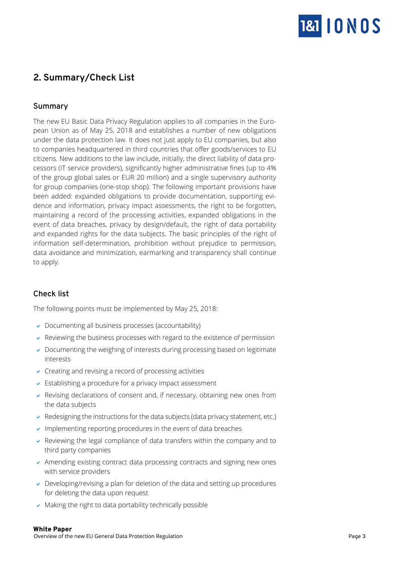

# <span id="page-2-0"></span>**2. Summary/Check List**

### **Summary**

The new EU Basic Data Privacy Regulation applies to all companies in the European Union as of May 25, 2018 and establishes a number of new obligations under the data protection law. It does not just apply to EU companies, but also to companies headquartered in third countries that offer goods/services to EU citizens. New additions to the law include, initially, the direct liability of data processors (IT service providers), significantly higher administrative fines (up to 4% of the group global sales or EUR 20 million) and a single supervisory authority for group companies (one-stop shop). The following important provisions have been added: expanded obligations to provide documentation, supporting evidence and information, privacy impact assessments, the right to be forgotten, maintaining a record of the processing activities, expanded obligations in the event of data breaches, privacy by design/default, the right of data portability and expanded rights for the data subjects. The basic principles of the right of information self-determination, prohibition without prejudice to permission, data avoidance and minimization, earmarking and transparency shall continue to apply.

### **Check list**

The following points must be implemented by May 25, 2018:

- $\triangleright$  Documenting all business processes (accountability)
- $\overline{\phantom{a}}$  Reviewing the business processes with regard to the existence of permission
- $\vee$  Documenting the weighing of interests during processing based on legitimate interests
- $\triangleright$  Creating and revising a record of processing activities
- $\triangleright$  Establishing a procedure for a privacy impact assessment
- $\triangleright$  Revising declarations of consent and, if necessary, obtaining new ones from the data subjects
- $\vee$  Redesigning the instructions for the data subjects (data privacy statement, etc.)
- $\cdot$  Implementing reporting procedures in the event of data breaches
- $\triangleright$  Reviewing the legal compliance of data transfers within the company and to third party companies
- $\triangleright$  Amending existing contract data processing contracts and signing new ones with service providers
- $\triangleright$  Developing/revising a plan for deletion of the data and setting up procedures for deleting the data upon request
- $\triangleright$  Making the right to data portability technically possible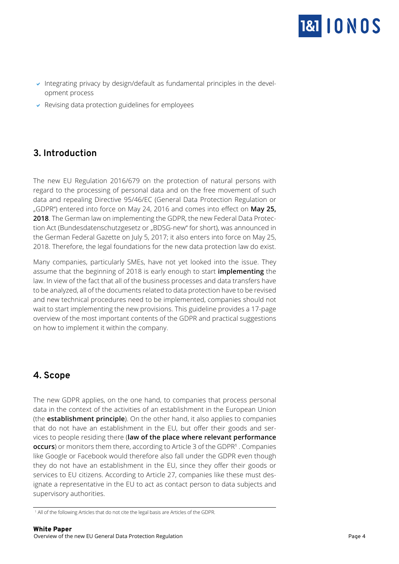

- <span id="page-3-0"></span> $\blacktriangleright$  Integrating privacy by design/default as fundamental principles in the development process
- $\triangleright$  Revising data protection guidelines for employees

# **3. Introduction**

The new EU Regulation 2016/679 on the protection of natural persons with regard to the processing of personal data and on the free movement of such data and repealing Directive 95/46/EC (General Data Protection Regulation or "GDPR") entered into force on May 24, 2016 and comes into effect on **May 25, 2018**. The German law on implementing the GDPR, the new Federal Data Protection Act (Bundesdatenschutzgesetz or "BDSG-new" for short), was announced in the German Federal Gazette on July 5, 2017; it also enters into force on May 25, 2018. Therefore, the legal foundations for the new data protection law do exist.

Many companies, particularly SMEs, have not yet looked into the issue. They assume that the beginning of 2018 is early enough to start **implementing** the law. In view of the fact that all of the business processes and data transfers have to be analyzed, all of the documents related to data protection have to be revised and new technical procedures need to be implemented, companies should not wait to start implementing the new provisions. This guideline provides a 17-page overview of the most important contents of the GDPR and practical suggestions on how to implement it within the company.

### **4. Scope**

l

The new GDPR applies, on the one hand, to companies that process personal data in the context of the activities of an establishment in the European Union (the **establishment principle**). On the other hand, it also applies to companies that do not have an establishment in the EU, but offer their goods and services to people residing there (**law of the place where relevant performance occurs**) or monitors them there, according to Article 3 of the GDPR<sup>1</sup> . Companies like Google or Facebook would therefore also fall under the GDPR even though they do not have an establishment in the EU, since they offer their goods or services to EU citizens. According to Article 27, companies like these must designate a representative in the EU to act as contact person to data subjects and supervisory authorities.

<sup>1</sup> All of the following Articles that do not cite the legal basis are Articles of the GDPR.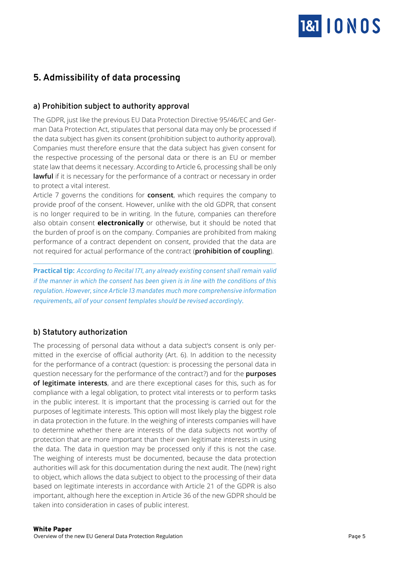

# <span id="page-4-0"></span>**5. Admissibility of data processing**

### **a) Prohibition subject to authority approval**

The GDPR, just like the previous EU Data Protection Directive 95/46/EC and German Data Protection Act, stipulates that personal data may only be processed if the data subject has given its consent (prohibition subject to authority approval). Companies must therefore ensure that the data subject has given consent for the respective processing of the personal data or there is an EU or member state law that deems it necessary. According to Article 6, processing shall be only **lawful** if it is necessary for the performance of a contract or necessary in order to protect a vital interest.

Article 7 governs the conditions for **consent**, which requires the company to provide proof of the consent. However, unlike with the old GDPR, that consent is no longer required to be in writing. In the future, companies can therefore also obtain consent **electronically** or otherwise, but it should be noted that the burden of proof is on the company. Companies are prohibited from making performance of a contract dependent on consent, provided that the data are not required for actual performance of the contract (**prohibition of coupling**).

**Practical tip:** *According to Recital 171, any already existing consent shall remain valid if the manner in which the consent has been given is in line with the conditions of this regulation. However, since Article 13 mandates much more comprehensive information requirements, all of your consent templates should be revised accordingly.*

### **b) Statutory authorization**

The processing of personal data without a data subject's consent is only permitted in the exercise of official authority (Art. 6). In addition to the necessity for the performance of a contract (question: is processing the personal data in question necessary for the performance of the contract?) and for the **purposes of legitimate interests**, and are there exceptional cases for this, such as for compliance with a legal obligation, to protect vital interests or to perform tasks in the public interest. It is important that the processing is carried out for the purposes of legitimate interests. This option will most likely play the biggest role in data protection in the future. In the weighing of interests companies will have to determine whether there are interests of the data subjects not worthy of protection that are more important than their own legitimate interests in using the data. The data in question may be processed only if this is not the case. The weighing of interests must be documented, because the data protection authorities will ask for this documentation during the next audit. The (new) right to object, which allows the data subject to object to the processing of their data based on legitimate interests in accordance with Article 21 of the GDPR is also important, although here the exception in Article 36 of the new GDPR should be taken into consideration in cases of public interest.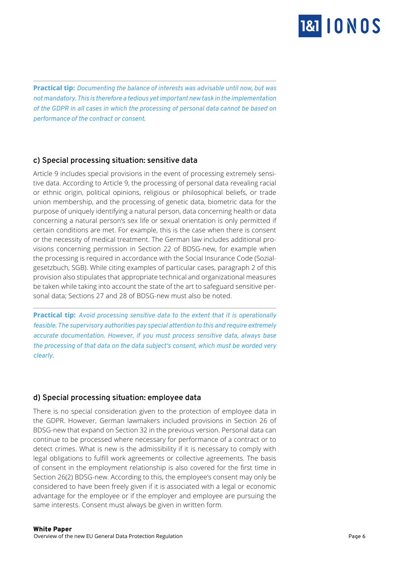

**Practical tip:** *Documenting the balance of interests was advisable until now, but was not mandatory. This is therefore a tedious yet important new task in the implementation of the GDPR in all cases in which the processing of personal data cannot be based on performance of the contract or consent.*

### **c) Special processing situation: sensitive data**

<span id="page-5-0"></span>

Article 9 includes special provisions in the event of processing extremely sensitive data. According to Article 9, the processing of personal data revealing racial or ethnic origin, political opinions, religious or philosophical beliefs, or trade union membership, and the processing of genetic data, biometric data for the purpose of uniquely identifying a natural person, data concerning health or data concerning a natural person's sex life or sexual orientation is only permitted if certain conditions are met. For example, this is the case when there is consent or the necessity of medical treatment. The German law includes additional provisions concerning permission in Section 22 of BDSG-new, for example when the processing is required in accordance with the Social Insurance Code (Sozialgesetzbuch, SGB). While citing examples of particular cases, paragraph 2 of this provision also stipulates that appropriate technical and organizational measures be taken while taking into account the state of the art to safeguard sensitive personal data; Sections 27 and 28 of BDSG-new must also be noted.

**Practical tip:** *Avoid processing sensitive data to the extent that it is operationally feasible. The supervisory authorities pay special attention to this and require extremely accurate documentation. However, if you must process sensitive data, always base the processing of that data on the data subject's consent, which must be worded very clearly.*

### **d) Special processing situation: employee data**

There is no special consideration given to the protection of employee data in the GDPR. However, German lawmakers included provisions in Section 26 of BDSG-new that expand on Section 32 in the previous version. Personal data can continue to be processed where necessary for performance of a contract or to detect crimes. What is new is the admissibility if it is necessary to comply with legal obligations to fulfill work agreements or collective agreements. The basis of consent in the employment relationship is also covered for the first time in Section 26(2) BDSG-new. According to this, the employee's consent may only be considered to have been freely given if it is associated with a legal or economic advantage for the employee or if the employer and employee are pursuing the same interests. Consent must always be given in written form.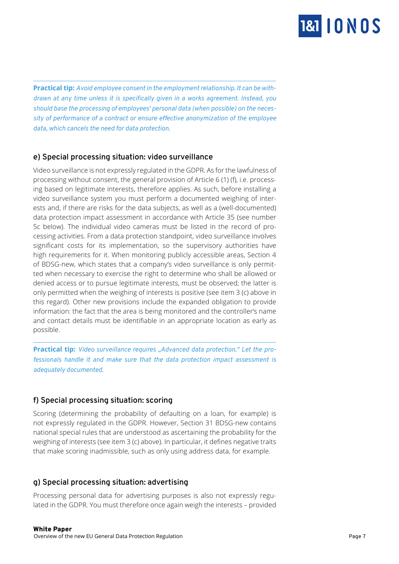

**Practical tip:** *Avoid employee consent in the employment relationship. It can be withdrawn at any time unless it is specifically given in a works agreement. Instead, you should base the processing of employees' personal data (when possible) on the necessity of performance of a contract or ensure effective anonymization of the employee data, which cancels the need for data protection.*

### **e) Special processing situation: video surveillance**

<span id="page-6-0"></span>

Video surveillance is not expressly regulated in the GDPR. As for the lawfulness of processing without consent, the general provision of Article 6 (1) (f), i.e. processing based on legitimate interests, therefore applies. As such, before installing a video surveillance system you must perform a documented weighing of interests and, if there are risks for the data subjects, as well as a (well-documented) data protection impact assessment in accordance with Article 35 (see number 5c below). The individual video cameras must be listed in the record of processing activities. From a data protection standpoint, video surveillance involves significant costs for its implementation, so the supervisory authorities have high requirements for it. When monitoring publicly accessible areas, Section 4 of BDSG-new, which states that a company's video surveillance is only permitted when necessary to exercise the right to determine who shall be allowed or denied access or to pursue legitimate interests, must be observed; the latter is only permitted when the weighing of interests is positive (see item 3 (c) above in this regard). Other new provisions include the expanded obligation to provide information: the fact that the area is being monitored and the controller's name and contact details must be identifiable in an appropriate location as early as possible.

**Practical tip:** *Video surveillance requires "Advanced data protection." Let the professionals handle it and make sure that the data protection impact assessment is adequately documented.*

### **f) Special processing situation: scoring**

Scoring (determining the probability of defaulting on a loan, for example) is not expressly regulated in the GDPR. However, Section 31 BDSG-new contains national special rules that are understood as ascertaining the probability for the weighing of interests (see item 3 (c) above). In particular, it defines negative traits that make scoring inadmissible, such as only using address data, for example.

### **g) Special processing situation: advertising**

Processing personal data for advertising purposes is also not expressly regulated in the GDPR. You must therefore once again weigh the interests – provided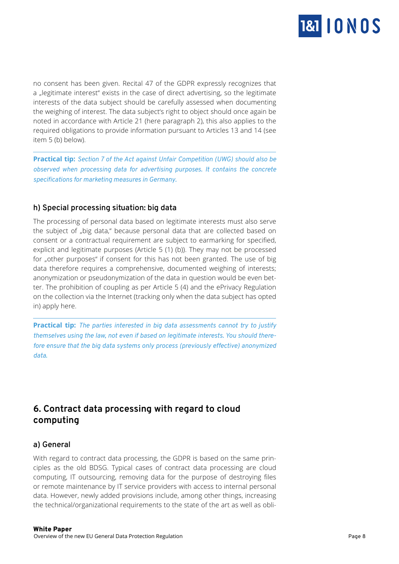

<span id="page-7-0"></span>no consent has been given. Recital 47 of the GDPR expressly recognizes that a "legitimate interest" exists in the case of direct advertising, so the legitimate interests of the data subject should be carefully assessed when documenting the weighing of interest. The data subject's right to object should once again be noted in accordance with Article 21 (here paragraph 2), this also applies to the required obligations to provide information pursuant to Articles 13 and 14 (see item 5 (b) below).

**Practical tip:** *Section 7 of the Act against Unfair Competition (UWG) should also be observed when processing data for advertising purposes. It contains the concrete specifications for marketing measures in Germany.*

### **h) Special processing situation: big data**

The processing of personal data based on legitimate interests must also serve the subject of "big data," because personal data that are collected based on consent or a contractual requirement are subject to earmarking for specified, explicit and legitimate purposes (Article 5 (1) (b)). They may not be processed for "other purposes" if consent for this has not been granted. The use of big data therefore requires a comprehensive, documented weighing of interests; anonymization or pseudonymization of the data in question would be even better. The prohibition of coupling as per Article 5 (4) and the ePrivacy Regulation on the collection via the Internet (tracking only when the data subject has opted in) apply here.

**Practical tip:** *The parties interested in big data assessments cannot try to justify themselves using the law, not even if based on legitimate interests. You should therefore ensure that the big data systems only process (previously effective) anonymized data.*

### **6. Contract data processing with regard to cloud computing**

### **a) General**

With regard to contract data processing, the GDPR is based on the same principles as the old BDSG. Typical cases of contract data processing are cloud computing, IT outsourcing, removing data for the purpose of destroying files or remote maintenance by IT service providers with access to internal personal data. However, newly added provisions include, among other things, increasing the technical/organizational requirements to the state of the art as well as obli-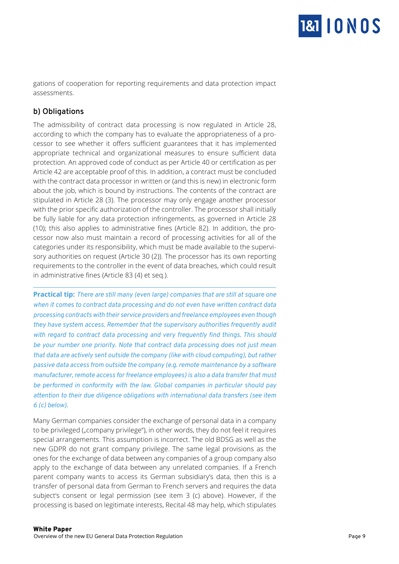

<span id="page-8-0"></span>gations of cooperation for reporting requirements and data protection impact assessments.

### **b) Obligations**

The admissibility of contract data processing is now regulated in Article 28, according to which the company has to evaluate the appropriateness of a processor to see whether it offers sufficient guarantees that it has implemented appropriate technical and organizational measures to ensure sufficient data protection. An approved code of conduct as per Article 40 or certification as per Article 42 are acceptable proof of this. In addition, a contract must be concluded with the contract data processor in written or (and this is new) in electronic form about the job, which is bound by instructions. The contents of the contract are stipulated in Article 28 (3). The processor may only engage another processor with the prior specific authorization of the controller. The processor shall initially be fully liable for any data protection infringements, as governed in Article 28 (10); this also applies to administrative fines (Article 82). In addition, the processor now also must maintain a record of processing activities for all of the categories under its responsibility, which must be made available to the supervisory authorities on request (Article 30 (2)). The processor has its own reporting requirements to the controller in the event of data breaches, which could result in administrative fines (Article 83 (4) et seq.).

**Practical tip:** *There are still many (even large) companies that are still at square one when it comes to contract data processing and do not even have written contract data processing contracts with their service providers and freelance employees even though they have system access. Remember that the supervisory authorities frequently audit with regard to contract data processing and very frequently find things. This should be your number one priority. Note that contract data processing does not just mean that data are actively sent outside the company (like with cloud computing), but rather passive data access from outside the company (e.g. remote maintenance by a software manufacturer, remote access for freelance employees) is also a data transfer that must be performed in conformity with the law. Global companies in particular should pay attention to their due diligence obligations with international data transfers (see item 6 (c) below).*

Many German companies consider the exchange of personal data in a company to be privileged ("company privilege"), in other words, they do not feel it requires special arrangements. This assumption is incorrect. The old BDSG as well as the new GDPR do not grant company privilege. The same legal provisions as the ones for the exchange of data between any companies of a group company also apply to the exchange of data between any unrelated companies. If a French parent company wants to access its German subsidiary's data, then this is a transfer of personal data from German to French servers and requires the data subject's consent or legal permission (see item 3 (c) above). However, if the processing is based on legitimate interests, Recital 48 may help, which stipulates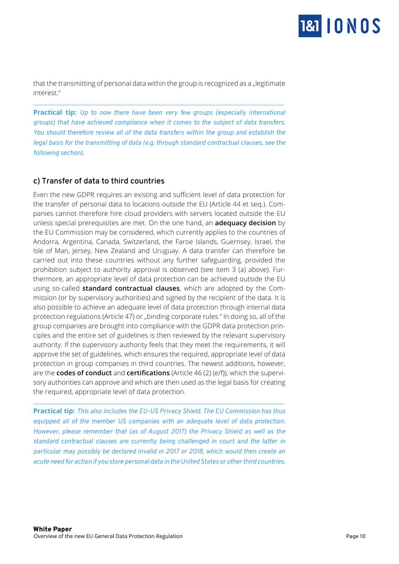

<span id="page-9-0"></span>that the transmitting of personal data within the group is recognized as a "legitimate interest."

**Practical tip:** *Up to now there have been very few groups (especially international groups) that have achieved compliance when it comes to the subject of data transfers. You should therefore review all of the data transfers within the group and establish the legal basis for the transmitting of data (e.g. through standard contractual clauses, see the following section).*

### **c) Transfer of data to third countries**

Even the new GDPR requires an existing and sufficient level of data protection for the transfer of personal data to locations outside the EU (Article 44 et seq.). Companies cannot therefore hire cloud providers with servers located outside the EU unless special prerequisites are met. On the one hand, an **adequacy decision** by the EU Commission may be considered, which currently applies to the countries of Andorra, Argentina, Canada, Switzerland, the Faroe Islands, Guernsey, Israel, the Isle of Man, Jersey, New Zealand and Uruguay. A data transfer can therefore be carried out into these countries without any further safeguarding, provided the prohibition subject to authority approval is observed (see item 3 (a) above). Furthermore, an appropriate level of data protection can be achieved outside the EU using so-called **standard contractual clauses**, which are adopted by the Commission (or by supervisory authorities) and signed by the recipient of the data. It is also possible to achieve an adequate level of data protection through internal data protection regulations (Article 47) or "binding corporate rules." In doing so, all of the group companies are brought into compliance with the GDPR data protection principles and the entire set of guidelines is then reviewed by the relevant supervisory authority. If the supervisory authority feels that they meet the requirements, it will approve the set of guidelines, which ensures the required, appropriate level of data protection in group companies in third countries. The newest additions, however, are the **codes of conduct** and **certifications** (Article 46 (2) (e/f)), which the supervisory authorities can approve and which are then used as the legal basis for creating the required, appropriate level of data protection.

**Practical tip:** *This also includes the EU-US Privacy Shield. The EU Commission has thus equipped all of the member US companies with an adequate level of data protection. However, please remember that (as of August 2017) the Privacy Shield as well as the standard contractual clauses are currently being challenged in court and the latter in particular may possibly be declared invalid in 2017 or 2018, which would then create an acute need for action if you store personal data in the United States or other third countries.*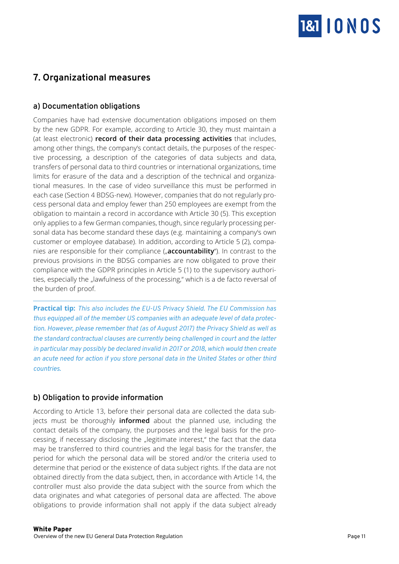

# <span id="page-10-0"></span>**7. Organizational measures**

### **a) Documentation obligations**

Companies have had extensive documentation obligations imposed on them by the new GDPR. For example, according to Article 30, they must maintain a (at least electronic) **record of their data processing activities** that includes, among other things, the company's contact details, the purposes of the respective processing, a description of the categories of data subjects and data, transfers of personal data to third countries or international organizations, time limits for erasure of the data and a description of the technical and organizational measures. In the case of video surveillance this must be performed in each case (Section 4 BDSG-new). However, companies that do not regularly process personal data and employ fewer than 250 employees are exempt from the obligation to maintain a record in accordance with Article 30 (5). This exception only applies to a few German companies, though, since regularly processing personal data has become standard these days (e.g. maintaining a company's own customer or employee database). In addition, according to Article 5 (2), companies are responsible for their compliance ("**accountability**"). In contrast to the previous provisions in the BDSG companies are now obligated to prove their compliance with the GDPR principles in Article 5 (1) to the supervisory authorities, especially the "lawfulness of the processing," which is a de facto reversal of the burden of proof.

**Practical tip:** *This also includes the EU-US Privacy Shield. The EU Commission has thus equipped all of the member US companies with an adequate level of data protection. However, please remember that (as of August 2017) the Privacy Shield as well as the standard contractual clauses are currently being challenged in court and the latter in particular may possibly be declared invalid in 2017 or 2018, which would then create an acute need for action if you store personal data in the United States or other third countries.*

### **b) Obligation to provide information**

According to Article 13, before their personal data are collected the data subjects must be thoroughly **informed** about the planned use, including the contact details of the company, the purposes and the legal basis for the processing, if necessary disclosing the "legitimate interest," the fact that the data may be transferred to third countries and the legal basis for the transfer, the period for which the personal data will be stored and/or the criteria used to determine that period or the existence of data subject rights. If the data are not obtained directly from the data subject, then, in accordance with Article 14, the controller must also provide the data subject with the source from which the data originates and what categories of personal data are affected. The above obligations to provide information shall not apply if the data subject already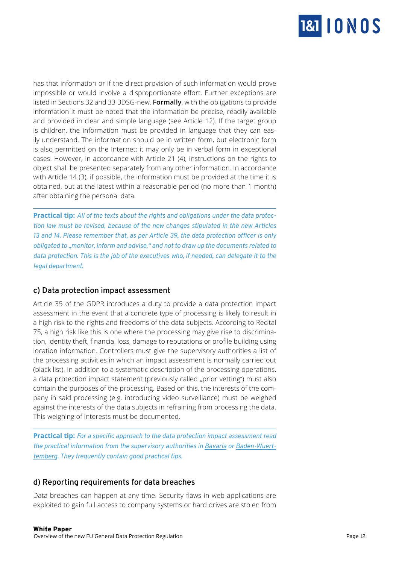

<span id="page-11-0"></span>has that information or if the direct provision of such information would prove impossible or would involve a disproportionate effort. Further exceptions are listed in Sections 32 and 33 BDSG-new. **Formally**, with the obligations to provide information it must be noted that the information be precise, readily available and provided in clear and simple language (see Article 12). If the target group is children, the information must be provided in language that they can easily understand. The information should be in written form, but electronic form is also permitted on the Internet; it may only be in verbal form in exceptional cases. However, in accordance with Article 21 (4), instructions on the rights to object shall be presented separately from any other information. In accordance with Article 14 (3), if possible, the information must be provided at the time it is obtained, but at the latest within a reasonable period (no more than 1 month) after obtaining the personal data.

**Practical tip:** *All of the texts about the rights and obligations under the data protection law must be revised, because of the new changes stipulated in the new Articles 13 and 14. Please remember that, as per Article 39, the data protection officer is only obligated to "monitor, inform and advise," and not to draw up the documents related to data protection. This is the job of the executives who, if needed, can delegate it to the legal department.*

### **c) Data protection impact assessment**

Article 35 of the GDPR introduces a duty to provide a data protection impact assessment in the event that a concrete type of processing is likely to result in a high risk to the rights and freedoms of the data subjects. According to Recital 75, a high risk like this is one where the processing may give rise to discrimination, identity theft, financial loss, damage to reputations or profile building using location information. Controllers must give the supervisory authorities a list of the processing activities in which an impact assessment is normally carried out (black list). In addition to a systematic description of the processing operations, a data protection impact statement (previously called "prior vetting") must also contain the purposes of the processing. Based on this, the interests of the company in said processing (e.g. introducing video surveillance) must be weighed against the interests of the data subjects in refraining from processing the data. This weighing of interests must be documented.

**Practical tip:** *For a specific approach to the data protection impact assessment read the practical information from the supervisory authorities in [Bavaria](https://www.lda.bayern.de/de/datenschutz_eu.html) or [Baden-Wuert](https://www.baden-wuerttemberg.datenschutz.de/dokumente-der-datenschutzkonferenz/)[temberg.](https://www.baden-wuerttemberg.datenschutz.de/dokumente-der-datenschutzkonferenz/) They frequently contain good practical tips.*

### **d) Reporting requirements for data breaches**

Data breaches can happen at any time. Security flaws in web applications are exploited to gain full access to company systems or hard drives are stolen from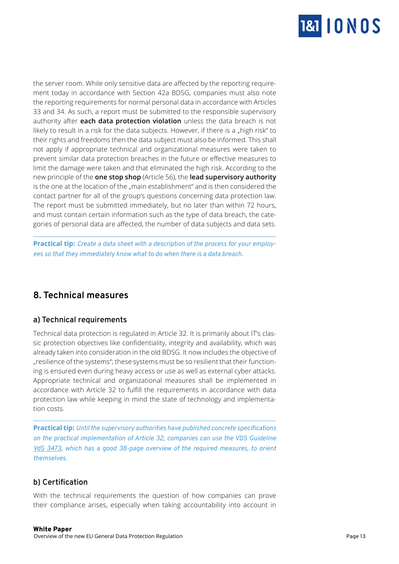

<span id="page-12-0"></span>the server room. While only sensitive data are affected by the reporting requirement today in accordance with Section 42a BDSG, companies must also note the reporting requirements for normal personal data in accordance with Articles 33 and 34. As such, a report must be submitted to the responsible supervisory authority after **each data protection violation** unless the data breach is not likely to result in a risk for the data subjects. However, if there is a "high risk" to their rights and freedoms then the data subject must also be informed. This shall not apply if appropriate technical and organizational measures were taken to prevent similar data protection breaches in the future or effective measures to limit the damage were taken and that eliminated the high risk. According to the new principle of the **one stop shop** (Article 56), the **lead supervisory authority** is the one at the location of the "main establishment" and is then considered the contact partner for all of the group's questions concerning data protection law. The report must be submitted immediately, but no later than within 72 hours, and must contain certain information such as the type of data breach, the categories of personal data are affected, the number of data subjects and data sets.

**Practical tip:** *Create a data sheet with a description of the process for your employees so that they immediately know what to do when there is a data breach.*

### **8. Technical measures**

### **a) Technical requirements**

Technical data protection is regulated in Article 32. It is primarily about IT's classic protection objectives like confidentiality, integrity and availability, which was already taken into consideration in the old BDSG. It now includes the objective of "resilience of the systems"; these systems must be so resilient that their functioning is ensured even during heavy access or use as well as external cyber attacks. Appropriate technical and organizational measures shall be implemented in accordance with Article 32 to fulfill the requirements in accordance with data protection law while keeping in mind the state of technology and implementation costs.

**Practical tip:** *Until the supervisory authorities have published concrete specifications on the practical implementation of Article 32, companies can use the VDS Guideline [VdS 3473](https://vds.de/fileadmin/vds_publikationen/vds_3473_web.pdf), which has a good 38-page overview of the required measures, to orient themselves.*

### **b) Certification**

With the technical requirements the question of how companies can prove their compliance arises, especially when taking accountability into account in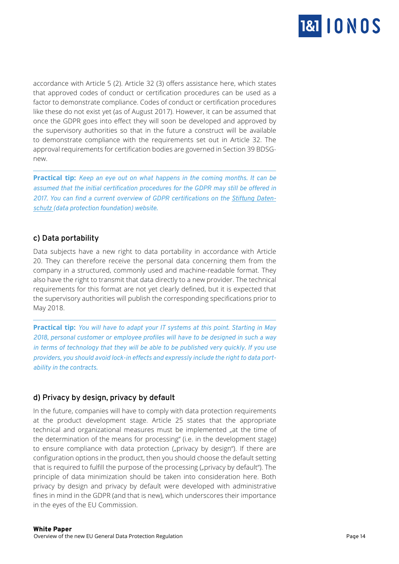

<span id="page-13-0"></span>accordance with Article 5 (2). Article 32 (3) offers assistance here, which states that approved codes of conduct or certification procedures can be used as a factor to demonstrate compliance. Codes of conduct or certification procedures like these do not exist yet (as of August 2017). However, it can be assumed that once the GDPR goes into effect they will soon be developed and approved by the supervisory authorities so that in the future a construct will be available to demonstrate compliance with the requirements set out in Article 32. The approval requirements for certification bodies are governed in Section 39 BDSGnew.

**Practical tip:** *Keep an eye out on what happens in the coming months. It can be assumed that the initial certification procedures for the GDPR may still be offered in 2017. You can find a current overview of GDPR certifications on the [Stiftung Daten](https://stiftungdatenschutz.org/zertifizierung/zertifikate-uebersicht/)[schutz](https://stiftungdatenschutz.org/zertifizierung/zertifikate-uebersicht/) (data protection foundation) website.*

### **c) Data portability**

Data subjects have a new right to data portability in accordance with Article 20. They can therefore receive the personal data concerning them from the company in a structured, commonly used and machine-readable format. They also have the right to transmit that data directly to a new provider. The technical requirements for this format are not yet clearly defined, but it is expected that the supervisory authorities will publish the corresponding specifications prior to May 2018.

**Practical tip:** *You will have to adapt your IT systems at this point. Starting in May 2018, personal customer or employee profiles will have to be designed in such a way in terms of technology that they will be able to be published very quickly. If you use providers, you should avoid lock-in effects and expressly include the right to data portability in the contracts.*

### **d) Privacy by design, privacy by default**

In the future, companies will have to comply with data protection requirements at the product development stage. Article 25 states that the appropriate technical and organizational measures must be implemented "at the time of the determination of the means for processing" (i.e. in the development stage) to ensure compliance with data protection ("privacy by design"). If there are configuration options in the product, then you should choose the default setting that is required to fulfill the purpose of the processing ("privacy by default"). The principle of data minimization should be taken into consideration here. Both privacy by design and privacy by default were developed with administrative fines in mind in the GDPR (and that is new), which underscores their importance in the eyes of the EU Commission.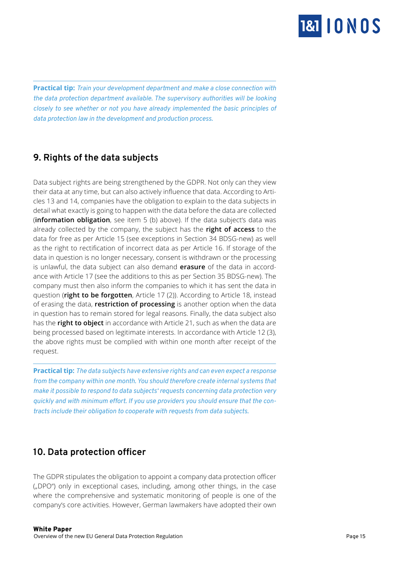

**Practical tip:** *Train your development department and make a close connection with the data protection department available. The supervisory authorities will be looking closely to see whether or not you have already implemented the basic principles of data protection law in the development and production process.*

### **9. Rights of the data subjects**

<span id="page-14-0"></span>

Data subject rights are being strengthened by the GDPR. Not only can they view their data at any time, but can also actively influence that data. According to Articles 13 and 14, companies have the obligation to explain to the data subjects in detail what exactly is going to happen with the data before the data are collected (**information obligation**, see item 5 (b) above). If the data subject's data was already collected by the company, the subject has the **right of access** to the data for free as per Article 15 (see exceptions in Section 34 BDSG-new) as well as the right to rectification of incorrect data as per Article 16. If storage of the data in question is no longer necessary, consent is withdrawn or the processing is unlawful, the data subject can also demand **erasure** of the data in accordance with Article 17 (see the additions to this as per Section 35 BDSG-new). The company must then also inform the companies to which it has sent the data in question (**right to be forgotten**, Article 17 (2)). According to Article 18, instead of erasing the data, **restriction of processing** is another option when the data in question has to remain stored for legal reasons. Finally, the data subject also has the **right to object** in accordance with Article 21, such as when the data are being processed based on legitimate interests. In accordance with Article 12 (3), the above rights must be complied with within one month after receipt of the request.

**Practical tip:** *The data subjects have extensive rights and can even expect a response from the company within one month. You should therefore create internal systems that make it possible to respond to data subjects' requests concerning data protection very quickly and with minimum effort. If you use providers you should ensure that the contracts include their obligation to cooperate with requests from data subjects.*

### **10. Data protection officer**

The GDPR stipulates the obligation to appoint a company data protection officer ("DPO") only in exceptional cases, including, among other things, in the case where the comprehensive and systematic monitoring of people is one of the company's core activities. However, German lawmakers have adopted their own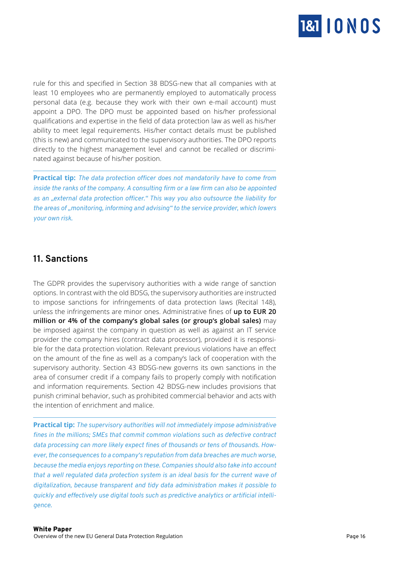

<span id="page-15-0"></span>rule for this and specified in Section 38 BDSG-new that all companies with at least 10 employees who are permanently employed to automatically process personal data (e.g. because they work with their own e-mail account) must appoint a DPO. The DPO must be appointed based on his/her professional qualifications and expertise in the field of data protection law as well as his/her ability to meet legal requirements. His/her contact details must be published (this is new) and communicated to the supervisory authorities. The DPO reports directly to the highest management level and cannot be recalled or discriminated against because of his/her position.

**Practical tip:** *The data protection officer does not mandatorily have to come from inside the ranks of the company. A consulting firm or a law firm can also be appointed as an "external data protection officer." This way you also outsource the liability for the areas of "monitoring, informing and advising" to the service provider, which lowers your own risk.*

### **11. Sanctions**

The GDPR provides the supervisory authorities with a wide range of sanction options. In contrast with the old BDSG, the supervisory authorities are instructed to impose sanctions for infringements of data protection laws (Recital 148), unless the infringements are minor ones. Administrative fines of **up to EUR 20 million or 4% of the company's global sales (or group's global sales)** may be imposed against the company in question as well as against an IT service provider the company hires (contract data processor), provided it is responsible for the data protection violation. Relevant previous violations have an effect on the amount of the fine as well as a company's lack of cooperation with the supervisory authority. Section 43 BDSG-new governs its own sanctions in the area of consumer credit if a company fails to properly comply with notification and information requirements. Section 42 BDSG-new includes provisions that punish criminal behavior, such as prohibited commercial behavior and acts with the intention of enrichment and malice.

**Practical tip:** *The supervisory authorities will not immediately impose administrative fines in the millions; SMEs that commit common violations such as defective contract data processing can more likely expect fines of thousands or tens of thousands. However, the consequences to a company's reputation from data breaches are much worse, because the media enjoys reporting on these. Companies should also take into account that a well regulated data protection system is an ideal basis for the current wave of digitalization, because transparent and tidy data administration makes it possible to quickly and effectively use digital tools such as predictive analytics or artificial intelligence.*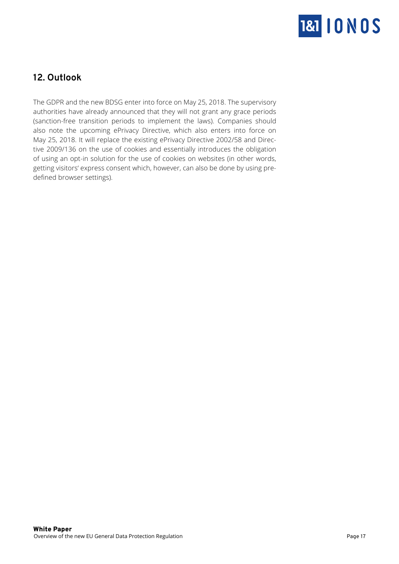

# <span id="page-16-0"></span>**12. Outlook**

The GDPR and the new BDSG enter into force on May 25, 2018. The supervisory authorities have already announced that they will not grant any grace periods (sanction-free transition periods to implement the laws). Companies should also note the upcoming ePrivacy Directive, which also enters into force on May 25, 2018. It will replace the existing ePrivacy Directive 2002/58 and Directive 2009/136 on the use of cookies and essentially introduces the obligation of using an opt-in solution for the use of cookies on websites (in other words, getting visitors' express consent which, however, can also be done by using predefined browser settings).